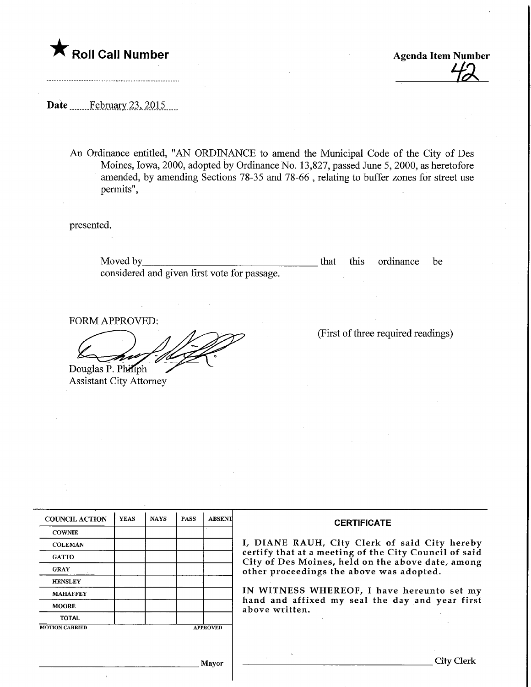

Roll Call Number<br>
Agenda Item Number<br>
Agenda Item Number<br>
Agenda Item Number

Date February 23, 2015

An Ordinance entitled, "AN ORDINANCE to amend the Municipal Code of the City of Des Moines, Iowa, 2000, adopted by Ordinance No. 13,827, passed June 5, 2000, as heretofore amended, by amending Sections 78-35 and 78-66 , relating to buffer zones for street use permits",

presented.

Moved by\_ considered and given first vote for passage. that this ordinance be

FORM APPROVED:

Douglas P. Philiph Assistant City Attorney (First of three required readings)

| <b>COUNCIL ACTION</b> | <b>YEAS</b> | <b>NAYS</b> | <b>PASS</b> | <b>ABSENT</b>   |
|-----------------------|-------------|-------------|-------------|-----------------|
| <b>COWNIE</b>         |             |             |             |                 |
| <b>COLEMAN</b>        |             |             |             |                 |
| <b>GATTO</b>          |             |             |             |                 |
| <b>GRAY</b>           |             |             |             |                 |
| <b>HENSLEY</b>        |             |             |             |                 |
| <b>MAHAFFEY</b>       |             |             |             |                 |
| <b>MOORE</b>          |             |             |             |                 |
| <b>TOTAL</b>          |             |             |             |                 |
| <b>MOTION CARRIED</b> |             |             |             | <b>APPROVED</b> |

## **CERTIFICATE**

ANE RAUH, City Clerk of said City hereby fy that at a meeting of the City Council of said of Des Moines, held on the above date, among proceedings the above was adopted.

VITNESS WHEREOF, I have hereunto set my and affixed my seal the day and year first e written.

] layor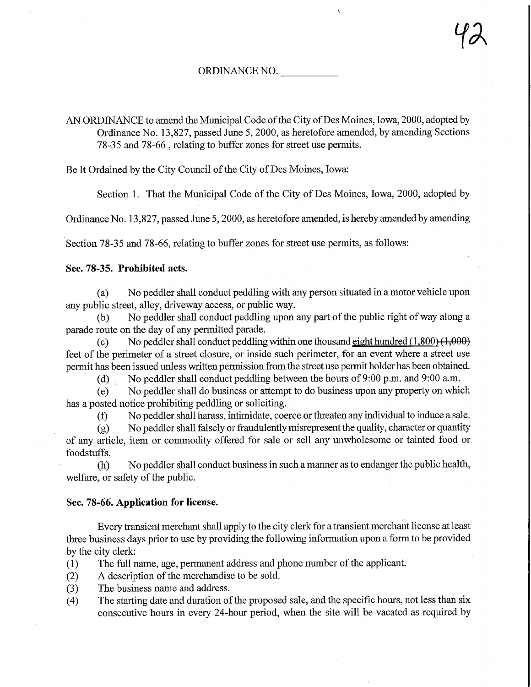## ORDINANCE NO.

AN ORDINANCE to amend the Municipal Code of the City of Des Moines, Iowa, 2000, adopted by Ordinance No. 13,827, passed June 5, 2000, as heretofore amended, by amending Sections 78-35 and 78-66 , relating to buffer zones for street use permits.

Be It Ordained by the City Council of the City of Des Moines, Iowa:

Section 1. That the Municipal Code of the City of Des Moines, Iowa, 2000, adopted by

Ordinance No. 13,827, passed June 5,2000, as heretofore amended, is hereby amended by amending

Section 78-35 and 78-66, relating to buffer zones for street use permits, as follows:

## Sec. 78-35. Prohibited acts.

(a) No peddler shall conduct peddling with any person situated in a motor vehicle upon any public street, alley, driveway access, or public way.

(b) No peddler shall conduct peddling upon any part of the public right of way along a parade route on the day of any permitted parade.

(c) No peddler shall conduct peddling within one thousand eight hundred  $(1,800)$   $(1,000)$ feet of the perimeter of a street closure, or inside such perimeter, for an event where a street use permit has been issued unless written permission from the street use permit holder has been obtained.

(d) , No peddler shall conduct peddling between the hours of 9:00 p.m. and 9:00 a.m.

(e) No peddler shall do business or attempt to do business upon any property on which has a posted notice prohibiting peddling or soliciting.

(f) No peddler shall harass, intimidate, coerce or threaten any individual to induce a sale.

(g) No peddler shall falsely or fraudulently misrepresent the quality, character or quantity of any article, item or commodity offered for sale or sell any unwholesome or tainted food or foodstuffs.

(h) No peddler shall conduct business in such a manner as to endanger the public health, welfare, or safety of the public.

## Sec. 78-66. Application for license.

Every transient merchant shall apply to the city clerk for a transient merchant license at least three business days prior to use by providing the following information upon a form to be provided by the city clerk:

- (1) The full name, age, permanent address and phone number of the applicant.
- (2) A description of the merchandise to be sold.
- (3) The business name and address.
- (4) The starting date and duration of the proposed sale, and the specific hours, not less than six consecutive hours in every 24-hour period, when the site will be vacated as required by